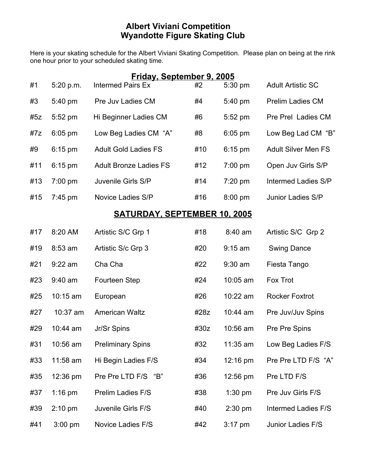## **Albert Viviani Competition Wyandotte Figure Skating Club**

Here is your skating schedule for the Albert Viviani Skating Competition. Please plan on being at the rink one hour prior to your scheduled skating time.

| Friday, September 9, 2005           |                   |                               |      |            |                            |  |  |
|-------------------------------------|-------------------|-------------------------------|------|------------|----------------------------|--|--|
| #1                                  | 5:20 p.m.         | <b>Intermed Pairs Ex</b>      | #2   | 5:30 pm    | <b>Adult Artistic SC</b>   |  |  |
| #3                                  | 5:40 pm           | Pre Juv Ladies CM             | #4   | 5:40 pm    | <b>Prelim Ladies CM</b>    |  |  |
| #5z                                 | $5:52 \text{ pm}$ | Hi Beginner Ladies CM         | #6   | $5:52$ pm  | Pre Prel Ladies CM         |  |  |
| #7z                                 | $6:05$ pm         | Low Beg Ladies CM "A"         | #8   | $6:05$ pm  | Low Beg Lad CM "B"         |  |  |
| #9                                  | $6:15$ pm         | <b>Adult Gold Ladies FS</b>   | #10  | $6:15$ pm  | <b>Adult Silver Men FS</b> |  |  |
| #11                                 | $6:15$ pm         | <b>Adult Bronze Ladies FS</b> | #12  | 7:00 pm    | Open Juv Girls S/P         |  |  |
| #13                                 | $7:00$ pm         | Juvenile Girls S/P            | #14  | $7:20$ pm  | <b>Intermed Ladies S/P</b> |  |  |
| #15                                 | $7:45 \text{ pm}$ | Novice Ladies S/P             | #16  | $8:00$ pm  | Junior Ladies S/P          |  |  |
| <b>SATURDAY, SEPTEMBER 10, 2005</b> |                   |                               |      |            |                            |  |  |
| #17                                 | 8:20 AM           | Artistic S/C Grp 1            | #18  | $8:40$ am  | Artistic S/C Grp 2         |  |  |
| #19                                 | 8:53 am           | Artistic S/c Grp 3            | #20  | $9:15$ am  | <b>Swing Dance</b>         |  |  |
| #21                                 | $9:22$ am         | Cha Cha                       | #22  | $9:30$ am  | Fiesta Tango               |  |  |
| #23                                 | $9:40$ am         | Fourteen Step                 | #24  | 10:05 am   | Fox Trot                   |  |  |
| #25                                 | $10:15$ am        | European                      | #26  | 10:22 am   | <b>Rocker Foxtrot</b>      |  |  |
| #27                                 | $10:37$ am        | <b>American Waltz</b>         | #28z | $10:44$ am | Pre Juv/Juv Spins          |  |  |
| #29                                 | $10:44$ am        | Jr/Sr Spins                   | #30z | 10:56 am   | Pre Pre Spins              |  |  |
| #31                                 | $10:56$ am        | <b>Preliminary Spins</b>      | #32  | 11:35 am   | Low Beg Ladies F/S         |  |  |
| #33                                 | 11:58 am          | Hi Begin Ladies F/S           | #34  | 12:16 pm   | Pre Pre LTD F/S "A"        |  |  |
| #35                                 | 12:36 pm          | Pre Pre LTD F/S "B"           | #36  | 12:56 pm   | Pre LTD F/S                |  |  |
| #37                                 | $1:16$ pm         | Prelim Ladies F/S             | #38  | $1:30$ pm  | Pre Juv Girls F/S          |  |  |
| #39                                 | $2:10$ pm         | Juvenile Girls F/S            | #40  | $2:30$ pm  | <b>Intermed Ladies F/S</b> |  |  |
| #41                                 | $3:00$ pm         | Novice Ladies F/S             | #42  | $3:17$ pm  | Junior Ladies F/S          |  |  |